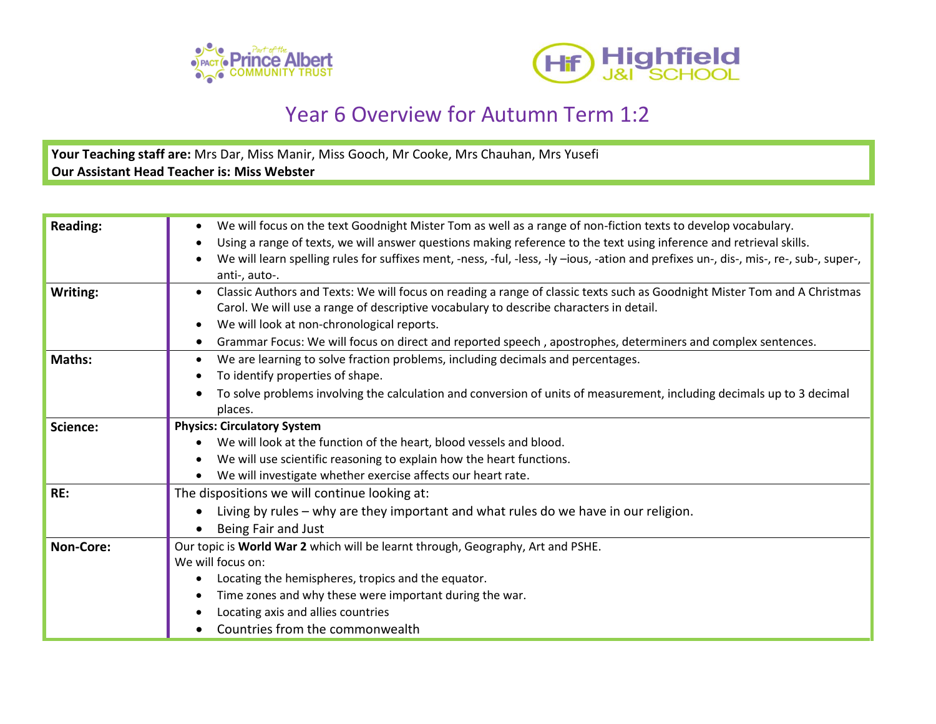



## Year 6 Overview for Autumn Term 1:2

**Your Teaching staff are:** Mrs Dar, Miss Manir, Miss Gooch, Mr Cooke, Mrs Chauhan, Mrs Yusefi **Our Assistant Head Teacher is: Miss Webster**

| <b>Reading:</b> | We will focus on the text Goodnight Mister Tom as well as a range of non-fiction texts to develop vocabulary.<br>Using a range of texts, we will answer questions making reference to the text using inference and retrieval skills.<br>We will learn spelling rules for suffixes ment, -ness, -ful, -less, -ly -ious, -ation and prefixes un-, dis-, mis-, re-, sub-, super-,<br>anti-, auto-. |
|-----------------|-------------------------------------------------------------------------------------------------------------------------------------------------------------------------------------------------------------------------------------------------------------------------------------------------------------------------------------------------------------------------------------------------|
| Writing:        | Classic Authors and Texts: We will focus on reading a range of classic texts such as Goodnight Mister Tom and A Christmas<br>Carol. We will use a range of descriptive vocabulary to describe characters in detail.<br>We will look at non-chronological reports.<br>Grammar Focus: We will focus on direct and reported speech, apostrophes, determiners and complex sentences.                |
| Maths:          | We are learning to solve fraction problems, including decimals and percentages.<br>To identify properties of shape.<br>To solve problems involving the calculation and conversion of units of measurement, including decimals up to 3 decimal<br>places.                                                                                                                                        |
| Science:        | <b>Physics: Circulatory System</b><br>We will look at the function of the heart, blood vessels and blood.<br>We will use scientific reasoning to explain how the heart functions.<br>We will investigate whether exercise affects our heart rate.                                                                                                                                               |
| RE:             | The dispositions we will continue looking at:<br>Living by rules - why are they important and what rules do we have in our religion.<br>Being Fair and Just                                                                                                                                                                                                                                     |
| Non-Core:       | Our topic is World War 2 which will be learnt through, Geography, Art and PSHE.<br>We will focus on:<br>Locating the hemispheres, tropics and the equator.<br>Time zones and why these were important during the war.<br>Locating axis and allies countries<br>Countries from the commonwealth                                                                                                  |